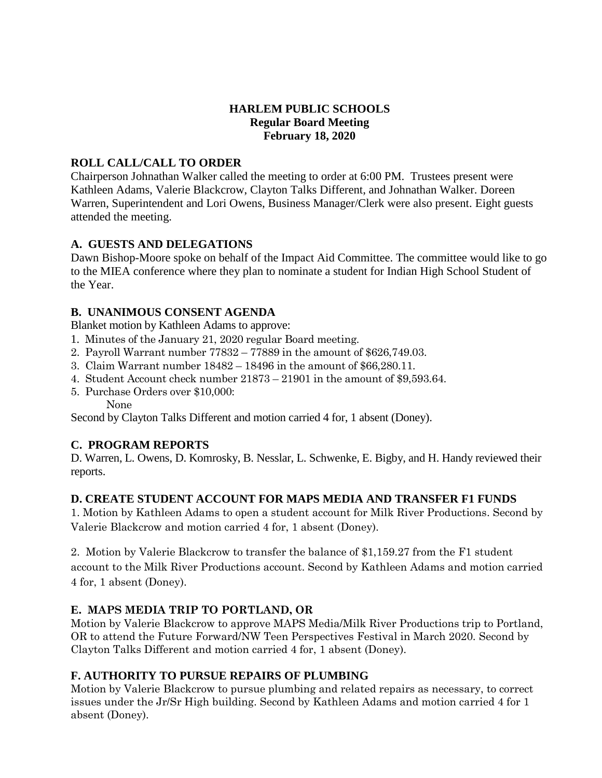# **HARLEM PUBLIC SCHOOLS Regular Board Meeting February 18, 2020**

# **ROLL CALL/CALL TO ORDER**

Chairperson Johnathan Walker called the meeting to order at 6:00 PM. Trustees present were Kathleen Adams, Valerie Blackcrow, Clayton Talks Different, and Johnathan Walker. Doreen Warren, Superintendent and Lori Owens, Business Manager/Clerk were also present. Eight guests attended the meeting.

### **A. GUESTS AND DELEGATIONS**

Dawn Bishop-Moore spoke on behalf of the Impact Aid Committee. The committee would like to go to the MIEA conference where they plan to nominate a student for Indian High School Student of the Year.

### **B. UNANIMOUS CONSENT AGENDA**

Blanket motion by Kathleen Adams to approve:

- 1. Minutes of the January 21, 2020 regular Board meeting.
- 2. Payroll Warrant number 77832 77889 in the amount of \$626,749.03.
- 3. Claim Warrant number 18482 18496 in the amount of \$66,280.11.
- 4. Student Account check number 21873 21901 in the amount of \$9,593.64.
- 5. Purchase Orders over \$10,000:

None

Second by Clayton Talks Different and motion carried 4 for, 1 absent (Doney).

# **C. PROGRAM REPORTS**

D. Warren, L. Owens, D. Komrosky, B. Nesslar, L. Schwenke, E. Bigby, and H. Handy reviewed their reports.

# **D. CREATE STUDENT ACCOUNT FOR MAPS MEDIA AND TRANSFER F1 FUNDS**

1. Motion by Kathleen Adams to open a student account for Milk River Productions. Second by Valerie Blackcrow and motion carried 4 for, 1 absent (Doney).

2. Motion by Valerie Blackcrow to transfer the balance of \$1,159.27 from the F1 student account to the Milk River Productions account. Second by Kathleen Adams and motion carried 4 for, 1 absent (Doney).

# **E. MAPS MEDIA TRIP TO PORTLAND, OR**

Motion by Valerie Blackcrow to approve MAPS Media/Milk River Productions trip to Portland, OR to attend the Future Forward/NW Teen Perspectives Festival in March 2020. Second by Clayton Talks Different and motion carried 4 for, 1 absent (Doney).

# **F. AUTHORITY TO PURSUE REPAIRS OF PLUMBING**

Motion by Valerie Blackcrow to pursue plumbing and related repairs as necessary, to correct issues under the Jr/Sr High building. Second by Kathleen Adams and motion carried 4 for 1 absent (Doney).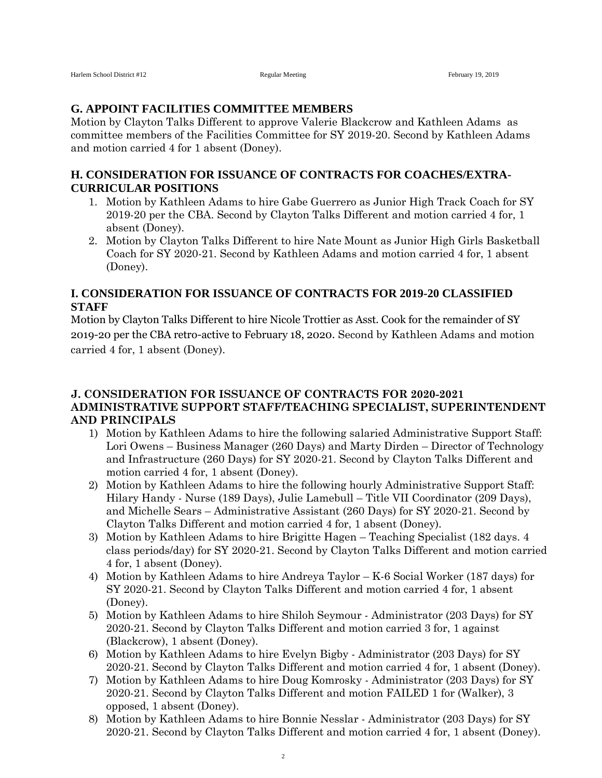#### **G. APPOINT FACILITIES COMMITTEE MEMBERS**

Motion by Clayton Talks Different to approve Valerie Blackcrow and Kathleen Adams as committee members of the Facilities Committee for SY 2019-20. Second by Kathleen Adams and motion carried 4 for 1 absent (Doney).

#### **H. CONSIDERATION FOR ISSUANCE OF CONTRACTS FOR COACHES/EXTRA-CURRICULAR POSITIONS**

- 1. Motion by Kathleen Adams to hire Gabe Guerrero as Junior High Track Coach for SY 2019-20 per the CBA. Second by Clayton Talks Different and motion carried 4 for, 1 absent (Doney).
- 2. Motion by Clayton Talks Different to hire Nate Mount as Junior High Girls Basketball Coach for SY 2020-21. Second by Kathleen Adams and motion carried 4 for, 1 absent (Doney).

### **I. CONSIDERATION FOR ISSUANCE OF CONTRACTS FOR 2019-20 CLASSIFIED STAFF**

Motion by Clayton Talks Different to hire Nicole Trottier as Asst. Cook for the remainder of SY 2019-20 per the CBA retro-active to February 18, 2020. Second by Kathleen Adams and motion carried 4 for, 1 absent (Doney).

### **J. CONSIDERATION FOR ISSUANCE OF CONTRACTS FOR 2020-2021 ADMINISTRATIVE SUPPORT STAFF/TEACHING SPECIALIST, SUPERINTENDENT AND PRINCIPALS**

- 1) Motion by Kathleen Adams to hire the following salaried Administrative Support Staff: Lori Owens – Business Manager (260 Days) and Marty Dirden – Director of Technology and Infrastructure (260 Days) for SY 2020-21. Second by Clayton Talks Different and motion carried 4 for, 1 absent (Doney).
- 2) Motion by Kathleen Adams to hire the following hourly Administrative Support Staff: Hilary Handy - Nurse (189 Days), Julie Lamebull – Title VII Coordinator (209 Days), and Michelle Sears – Administrative Assistant (260 Days) for SY 2020-21. Second by Clayton Talks Different and motion carried 4 for, 1 absent (Doney).
- 3) Motion by Kathleen Adams to hire Brigitte Hagen Teaching Specialist (182 days. 4 class periods/day) for SY 2020-21. Second by Clayton Talks Different and motion carried 4 for, 1 absent (Doney).
- 4) Motion by Kathleen Adams to hire Andreya Taylor K-6 Social Worker (187 days) for SY 2020-21. Second by Clayton Talks Different and motion carried 4 for, 1 absent (Doney).
- 5) Motion by Kathleen Adams to hire Shiloh Seymour Administrator (203 Days) for SY 2020-21. Second by Clayton Talks Different and motion carried 3 for, 1 against (Blackcrow), 1 absent (Doney).
- 6) Motion by Kathleen Adams to hire Evelyn Bigby Administrator (203 Days) for SY 2020-21. Second by Clayton Talks Different and motion carried 4 for, 1 absent (Doney).
- 7) Motion by Kathleen Adams to hire Doug Komrosky Administrator (203 Days) for SY 2020-21. Second by Clayton Talks Different and motion FAILED 1 for (Walker), 3 opposed, 1 absent (Doney).
- 8) Motion by Kathleen Adams to hire Bonnie Nesslar Administrator (203 Days) for SY 2020-21. Second by Clayton Talks Different and motion carried 4 for, 1 absent (Doney).